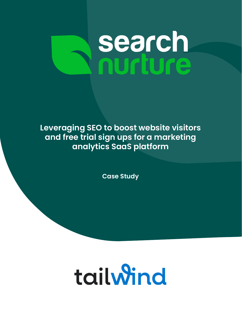# **search**<br>nurture

**Leveraging SEO to boost website visitors and free trial sign ups for a marketing analytics SaaS platform**

**Case Study**

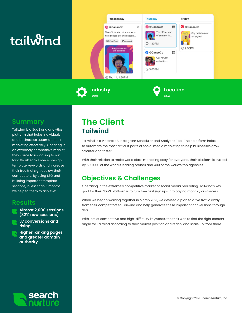# tailwind



**Industry** Tech

#### **Location** USA

### **Summary**

Tailwind is a SaaS and analytics platform that helps individuals and businesses automate their marketing effectively. Opeating in an extremely competitive market, they came to us looking to ran for difficult social media design template keywords and increase their free trial sign ups ovr their competitors. By using SEO and building important template sections, in less than 5 months we helped them to achieve:

#### **Results**



**37 conversions and rising**

**Higher ranking pages and greater domain authority**

## **The Client Tailwind**

Tailwind is a Pinterest & Instagram Scheduler and Analytics Tool. Their platform helps to automate the most difficult parts of social media marketing to help businesses grow smarter and faster.

With their mission to make world class marketing easy for everyone, their platform is trusted by 500,000 of the world's leading brands and 400 of the world's top agencies.

## **Objectives & Challenges**

Operating in the extremely competitive market of social media marketing, Tailwind's key goal for their SaaS platform is to turn free trial sign ups into paying monthly customers.

When we began working together in March 2021, we devised a plan to drive traffic away from their competitors to Tailwind and help generate these important conversions through SEO.

With lots of competitive and high-difficulty keywords, the trick was to find the right content angle for Tailwind according to their market position and reach, and scale up from there.